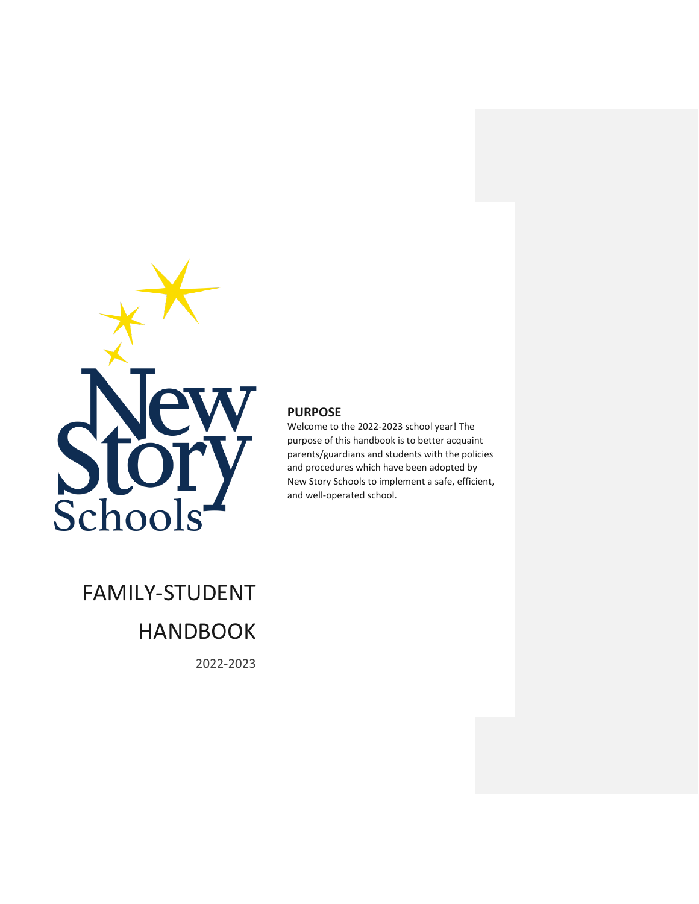

FAMILY-STUDENT HANDBOOK

2022-2023

# **PURPOSE**

Welcome to the 2022-2023 school year! The purpose of this handbook is to better acquaint parents/guardians and students with the policies and procedures which have been adopted by New Story Schools to implement a safe, efficient, and well-operated school.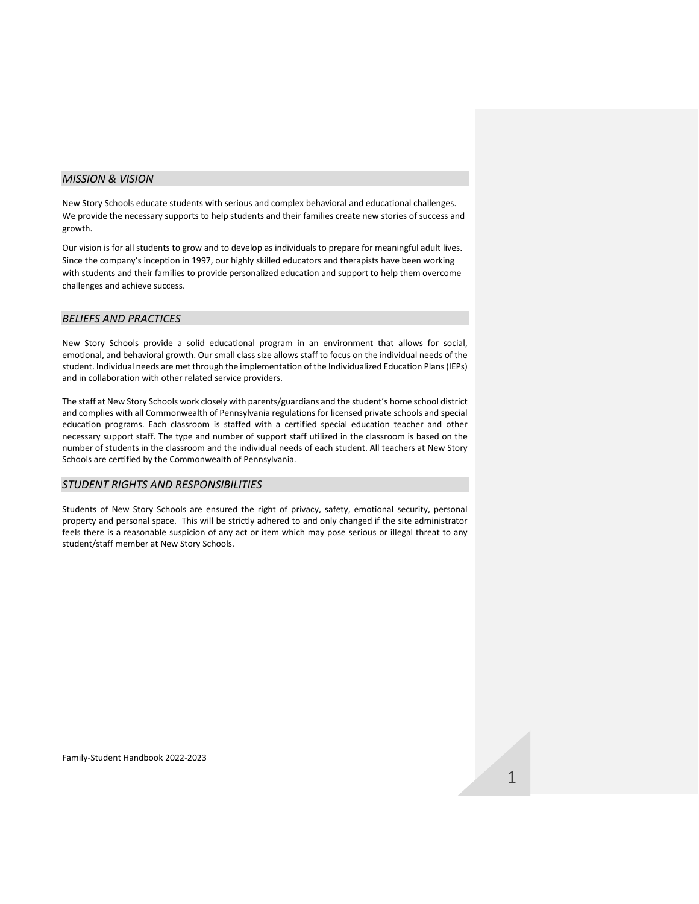#### *MISSION & VISION*

New Story Schools educate students with serious and complex behavioral and educational challenges. We provide the necessary supports to help students and their families create new stories of success and growth.

Our vision is for all students to grow and to develop as individuals to prepare for meaningful adult lives. Since the company's inception in 1997, our highly skilled educators and therapists have been working with students and their families to provide personalized education and support to help them overcome challenges and achieve success.

### *BELIEFS AND PRACTICES*

New Story Schools provide a solid educational program in an environment that allows for social, emotional, and behavioral growth. Our small class size allows staff to focus on the individual needs of the student. Individual needs are met through the implementation of the Individualized Education Plans (IEPs) and in collaboration with other related service providers.

The staff at New Story Schools work closely with parents/guardians and the student's home school district and complies with all Commonwealth of Pennsylvania regulations for licensed private schools and special education programs. Each classroom is staffed with a certified special education teacher and other necessary support staff. The type and number of support staff utilized in the classroom is based on the number of students in the classroom and the individual needs of each student. All teachers at New Story Schools are certified by the Commonwealth of Pennsylvania.

### *STUDENT RIGHTS AND RESPONSIBILITIES*

Students of New Story Schools are ensured the right of privacy, safety, emotional security, personal property and personal space. This will be strictly adhered to and only changed if the site administrator feels there is a reasonable suspicion of any act or item which may pose serious or illegal threat to any student/staff member at New Story Schools.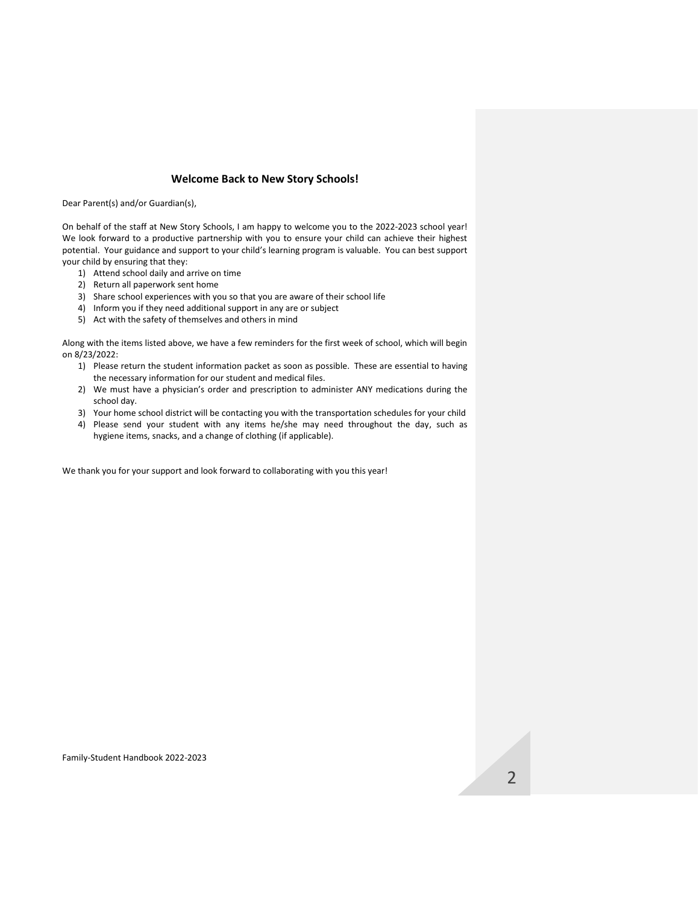## **Welcome Back to New Story Schools!**

Dear Parent(s) and/or Guardian(s),

On behalf of the staff at New Story Schools, I am happy to welcome you to the 2022-2023 school year! We look forward to a productive partnership with you to ensure your child can achieve their highest potential. Your guidance and support to your child's learning program is valuable. You can best support your child by ensuring that they:

- 1) Attend school daily and arrive on time
- 2) Return all paperwork sent home
- 3) Share school experiences with you so that you are aware of their school life
- 4) Inform you if they need additional support in any are or subject
- 5) Act with the safety of themselves and others in mind

Along with the items listed above, we have a few reminders for the first week of school, which will begin on 8/23/2022:

- 1) Please return the student information packet as soon as possible. These are essential to having the necessary information for our student and medical files.
- 2) We must have a physician's order and prescription to administer ANY medications during the school day.
- 3) Your home school district will be contacting you with the transportation schedules for your child
- 4) Please send your student with any items he/she may need throughout the day, such as hygiene items, snacks, and a change of clothing (if applicable).

We thank you for your support and look forward to collaborating with you this year!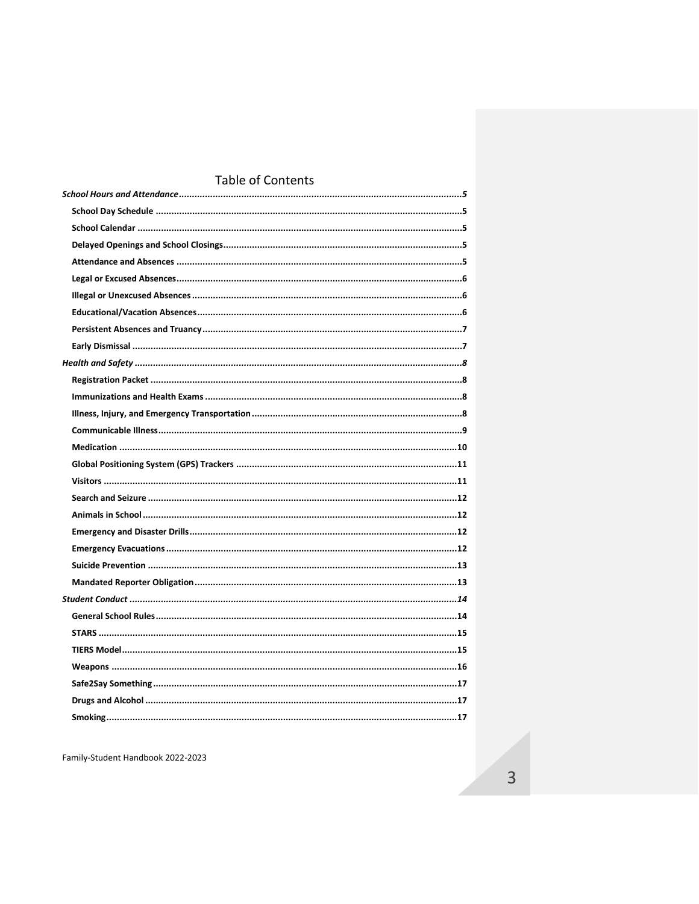# Table of Contents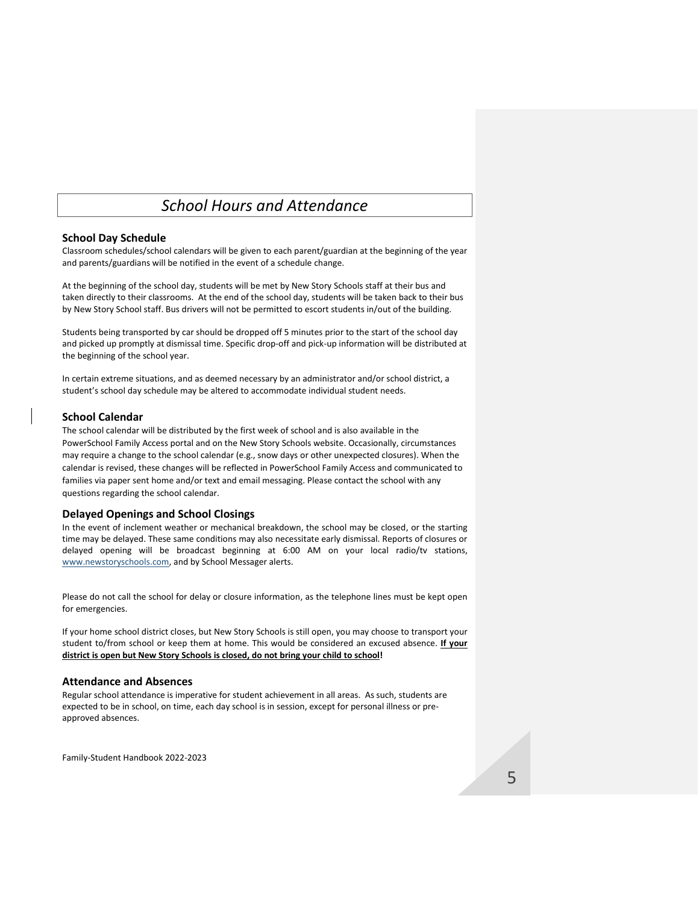# *School Hours and Attendance*

### <span id="page-5-1"></span><span id="page-5-0"></span>**School Day Schedule**

Classroom schedules/school calendars will be given to each parent/guardian at the beginning of the year and parents/guardians will be notified in the event of a schedule change.

At the beginning of the school day, students will be met by New Story Schools staff at their bus and taken directly to their classrooms. At the end of the school day, students will be taken back to their bus by New Story School staff. Bus drivers will not be permitted to escort students in/out of the building.

Students being transported by car should be dropped off 5 minutes prior to the start of the school day and picked up promptly at dismissal time. Specific drop-off and pick-up information will be distributed at the beginning of the school year.

In certain extreme situations, and as deemed necessary by an administrator and/or school district, a student's school day schedule may be altered to accommodate individual student needs.

## <span id="page-5-2"></span>**School Calendar**

The school calendar will be distributed by the first week of school and is also available in the PowerSchool Family Access portal and on the New Story Schools website. Occasionally, circumstances may require a change to the school calendar (e.g., snow days or other unexpected closures). When the calendar is revised, these changes will be reflected in PowerSchool Family Access and communicated to families via paper sent home and/or text and email messaging. Please contact the school with any questions regarding the school calendar.

### <span id="page-5-3"></span>**Delayed Openings and School Closings**

In the event of inclement weather or mechanical breakdown, the school may be closed, or the starting time may be delayed. These same conditions may also necessitate early dismissal. Reports of closures or delayed opening will be broadcast beginning at 6:00 AM on your local radio/tv stations, [www.newstoryschools.com,](http://www.newstoryschools.com/) and by School Messager alerts.

Please do not call the school for delay or closure information, as the telephone lines must be kept open for emergencies.

If your home school district closes, but New Story Schools is still open, you may choose to transport your student to/from school or keep them at home. This would be considered an excused absence. **If your district is open but New Story Schools is closed, do not bring your child to school!** 

## <span id="page-5-4"></span>**Attendance and Absences**

Regular school attendance is imperative for student achievement in all areas. As such, students are expected to be in school, on time, each day school is in session, except for personal illness or preapproved absences.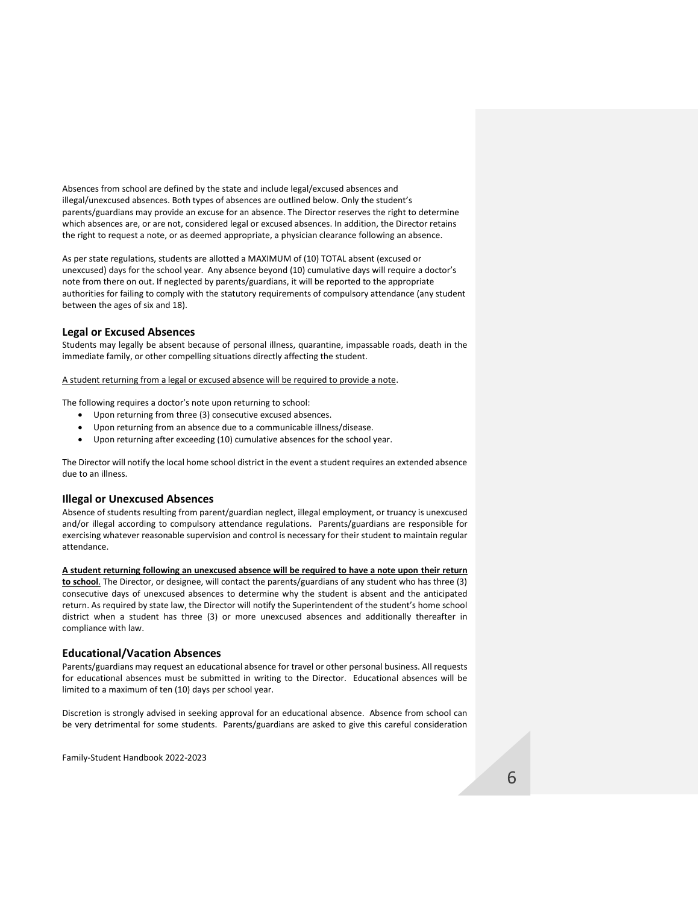Absences from school are defined by the state and include legal/excused absences and illegal/unexcused absences. Both types of absences are outlined below. Only the student's parents/guardians may provide an excuse for an absence. The Director reserves the right to determine which absences are, or are not, considered legal or excused absences. In addition, the Director retains the right to request a note, or as deemed appropriate, a physician clearance following an absence.

As per state regulations, students are allotted a MAXIMUM of (10) TOTAL absent (excused or unexcused) days for the school year. Any absence beyond (10) cumulative days will require a doctor's note from there on out. If neglected by parents/guardians, it will be reported to the appropriate authorities for failing to comply with the statutory requirements of compulsory attendance (any student between the ages of six and 18).

### <span id="page-6-0"></span>**Legal or Excused Absences**

Students may legally be absent because of personal illness, quarantine, impassable roads, death in the immediate family, or other compelling situations directly affecting the student.

#### A student returning from a legal or excused absence will be required to provide a note.

The following requires a doctor's note upon returning to school:

- Upon returning from three (3) consecutive excused absences.
- Upon returning from an absence due to a communicable illness/disease.
- Upon returning after exceeding (10) cumulative absences for the school year.

The Director will notify the local home school district in the event a student requires an extended absence due to an illness.

#### <span id="page-6-1"></span>**Illegal or Unexcused Absences**

Absence of students resulting from parent/guardian neglect, illegal employment, or truancy is unexcused and/or illegal according to compulsory attendance regulations. Parents/guardians are responsible for exercising whatever reasonable supervision and control is necessary for their student to maintain regular attendance.

**A student returning following an unexcused absence will be required to have a note upon their return to school**. The Director, or designee, will contact the parents/guardians of any student who has three (3) consecutive days of unexcused absences to determine why the student is absent and the anticipated return. As required by state law, the Director will notify the Superintendent of the student's home school district when a student has three (3) or more unexcused absences and additionally thereafter in compliance with law.

#### <span id="page-6-2"></span>**Educational/Vacation Absences**

Parents/guardians may request an educational absence for travel or other personal business. All requests for educational absences must be submitted in writing to the Director. Educational absences will be limited to a maximum of ten (10) days per school year.

Discretion is strongly advised in seeking approval for an educational absence. Absence from school can be very detrimental for some students. Parents/guardians are asked to give this careful consideration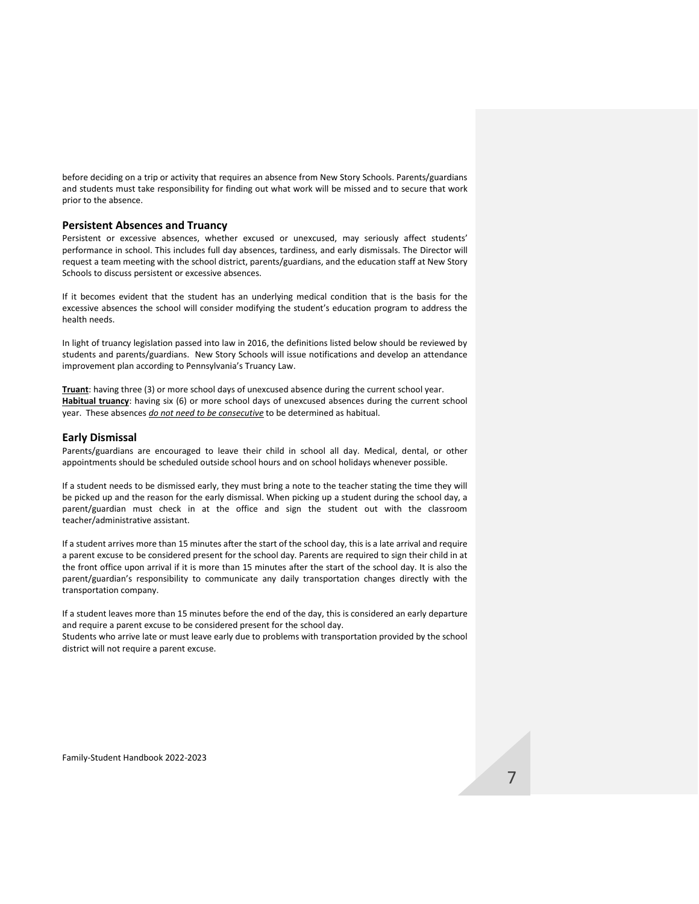before deciding on a trip or activity that requires an absence from New Story Schools. Parents/guardians and students must take responsibility for finding out what work will be missed and to secure that work prior to the absence.

#### <span id="page-7-0"></span>**Persistent Absences and Truancy**

Persistent or excessive absences, whether excused or unexcused, may seriously affect students' performance in school. This includes full day absences, tardiness, and early dismissals. The Director will request a team meeting with the school district, parents/guardians, and the education staff at New Story Schools to discuss persistent or excessive absences.

If it becomes evident that the student has an underlying medical condition that is the basis for the excessive absences the school will consider modifying the student's education program to address the health needs.

In light of truancy legislation passed into law in 2016, the definitions listed below should be reviewed by students and parents/guardians. New Story Schools will issue notifications and develop an attendance improvement plan according to Pennsylvania's Truancy Law.

**Truant**: having three (3) or more school days of unexcused absence during the current school year. **Habitual truancy**: having six (6) or more school days of unexcused absences during the current school year. These absences *do not need to be consecutive* to be determined as habitual.

## <span id="page-7-1"></span>**Early Dismissal**

Parents/guardians are encouraged to leave their child in school all day. Medical, dental, or other appointments should be scheduled outside school hours and on school holidays whenever possible.

If a student needs to be dismissed early, they must bring a note to the teacher stating the time they will be picked up and the reason for the early dismissal. When picking up a student during the school day, a parent/guardian must check in at the office and sign the student out with the classroom teacher/administrative assistant.

If a student arrives more than 15 minutes after the start of the school day, this is a late arrival and require a parent excuse to be considered present for the school day. Parents are required to sign their child in at the front office upon arrival if it is more than 15 minutes after the start of the school day. It is also the parent/guardian's responsibility to communicate any daily transportation changes directly with the transportation company.

If a student leaves more than 15 minutes before the end of the day, this is considered an early departure and require a parent excuse to be considered present for the school day.

Students who arrive late or must leave early due to problems with transportation provided by the school district will not require a parent excuse.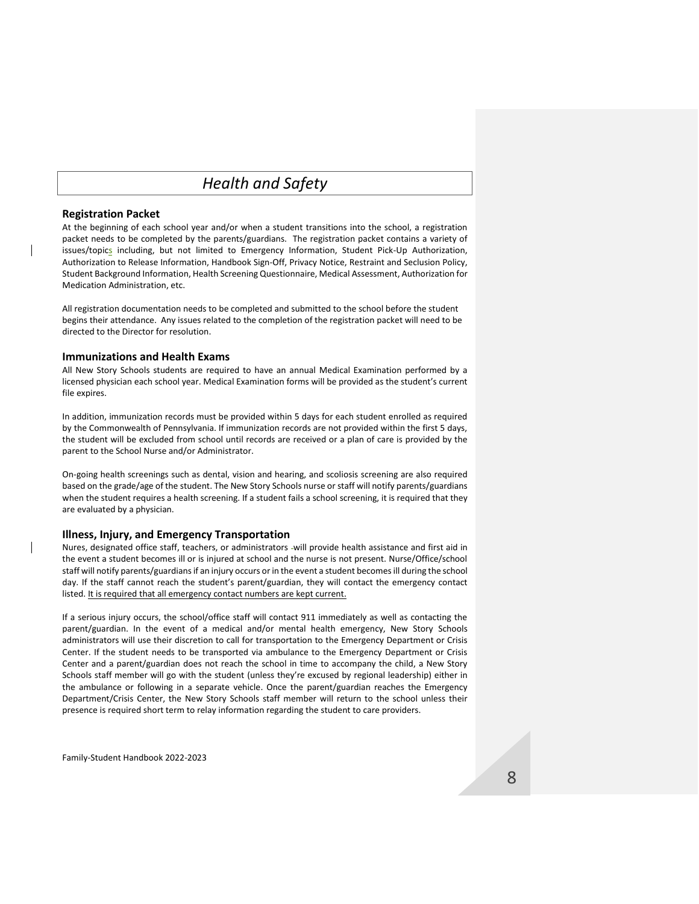# *Health and Safety*

### <span id="page-8-1"></span><span id="page-8-0"></span>**Registration Packet**

At the beginning of each school year and/or when a student transitions into the school, a registration packet needs to be completed by the parents/guardians. The registration packet contains a variety of issues/topics including, but not limited to Emergency Information, Student Pick-Up Authorization, Authorization to Release Information, Handbook Sign-Off, Privacy Notice, Restraint and Seclusion Policy, Student Background Information, Health Screening Questionnaire, Medical Assessment, Authorization for Medication Administration, etc.

All registration documentation needs to be completed and submitted to the school before the student begins their attendance. Any issues related to the completion of the registration packet will need to be directed to the Director for resolution.

### <span id="page-8-2"></span>**Immunizations and Health Exams**

All New Story Schools students are required to have an annual Medical Examination performed by a licensed physician each school year. Medical Examination forms will be provided as the student's current file expires.

In addition, immunization records must be provided within 5 days for each student enrolled as required by the Commonwealth of Pennsylvania. If immunization records are not provided within the first 5 days, the student will be excluded from school until records are received or a plan of care is provided by the parent to the School Nurse and/or Administrator.

On-going health screenings such as dental, vision and hearing, and scoliosis screening are also required based on the grade/age of the student. The New Story Schools nurse or staff will notify parents/guardians when the student requires a health screening. If a student fails a school screening, it is required that they are evaluated by a physician.

#### <span id="page-8-3"></span>**Illness, Injury, and Emergency Transportation**

Nures, designated office staff, teachers, or administrators -will provide health assistance and first aid in the event a student becomes ill or is injured at school and the nurse is not present. Nurse/Office/school staff will notify parents/guardians if an injury occurs or in the event a student becomes ill during the school day. If the staff cannot reach the student's parent/guardian, they will contact the emergency contact listed. It is required that all emergency contact numbers are kept current.

If a serious injury occurs, the school/office staff will contact 911 immediately as well as contacting the parent/guardian. In the event of a medical and/or mental health emergency, New Story Schools administrators will use their discretion to call for transportation to the Emergency Department or Crisis Center. If the student needs to be transported via ambulance to the Emergency Department or Crisis Center and a parent/guardian does not reach the school in time to accompany the child, a New Story Schools staff member will go with the student (unless they're excused by regional leadership) either in the ambulance or following in a separate vehicle. Once the parent/guardian reaches the Emergency Department/Crisis Center, the New Story Schools staff member will return to the school unless their presence is required short term to relay information regarding the student to care providers.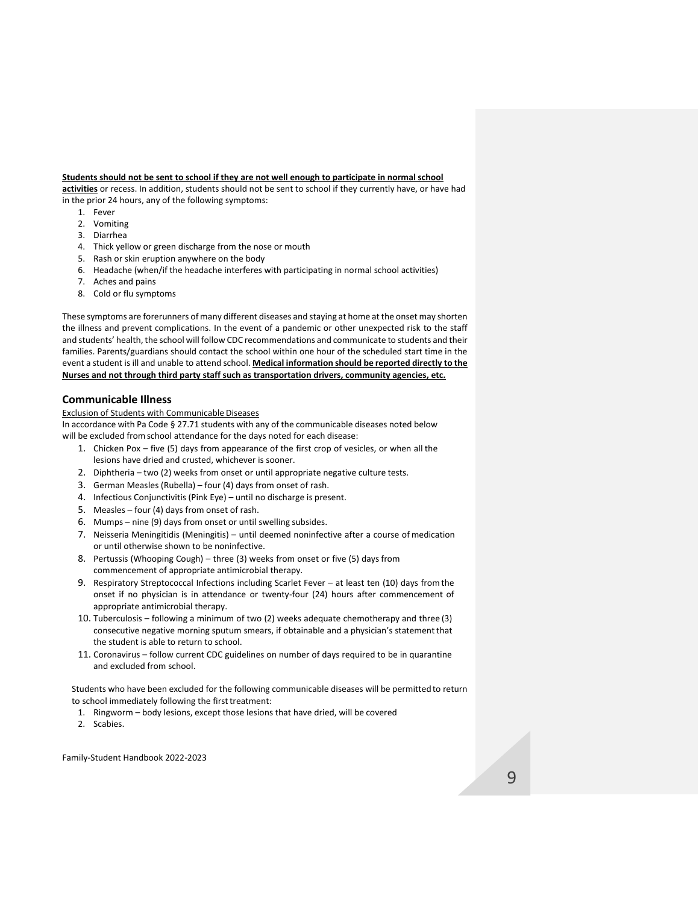#### **Students should not be sent to school if they are not well enough to participate in normal school**

**activities** or recess. In addition, students should not be sent to school if they currently have, or have had in the prior 24 hours, any of the following symptoms:

- 1. Fever
- 2. Vomiting
- 3. Diarrhea
- 4. Thick yellow or green discharge from the nose or mouth
- 5. Rash or skin eruption anywhere on the body
- 6. Headache (when/if the headache interferes with participating in normal school activities)
- 7. Aches and pains
- 8. Cold or flu symptoms

These symptoms are forerunners of many different diseases and staying at home at the onset may shorten the illness and prevent complications. In the event of a pandemic or other unexpected risk to the staff and students' health, the school will follow CDC recommendations and communicate to students and their families. Parents/guardians should contact the school within one hour of the scheduled start time in the event a student is ill and unable to attend school. **Medical information should be reported directly to the Nurses and not through third party staff such as transportation drivers, community agencies, etc.**

#### <span id="page-9-0"></span>**Communicable Illness**

Exclusion of Students with Communicable Diseases

In accordance with Pa Code § 27.71 students with any of the communicable diseases noted below will be excluded from school attendance for the days noted for each disease:

- 1. Chicken Pox five (5) days from appearance of the first crop of vesicles, or when all the lesions have dried and crusted, whichever is sooner.
- 2. Diphtheria two (2) weeks from onset or until appropriate negative culture tests.
- 3. German Measles (Rubella) four (4) days from onset of rash.
- 4. Infectious Conjunctivitis (Pink Eye) until no discharge is present.
- 5. Measles four (4) days from onset of rash.
- 6. Mumps nine (9) days from onset or until swelling subsides.
- 7. Neisseria Meningitidis (Meningitis) until deemed noninfective after a course of medication or until otherwise shown to be noninfective.
- 8. Pertussis (Whooping Cough) three (3) weeks from onset or five (5) days from commencement of appropriate antimicrobial therapy.
- 9. Respiratory Streptococcal Infections including Scarlet Fever at least ten (10) days fromthe onset if no physician is in attendance or twenty-four (24) hours after commencement of appropriate antimicrobial therapy.
- 10. Tuberculosis following a minimum of two (2) weeks adequate chemotherapy and three (3) consecutive negative morning sputum smears, if obtainable and a physician's statementthat the student is able to return to school.
- 11. Coronavirus follow current CDC guidelines on number of days required to be in quarantine and excluded from school.

Students who have been excluded for the following communicable diseases will be permitted to return to school immediately following the first treatment:

- 1. Ringworm body lesions, except those lesions that have dried, will be covered
- 2. Scabies.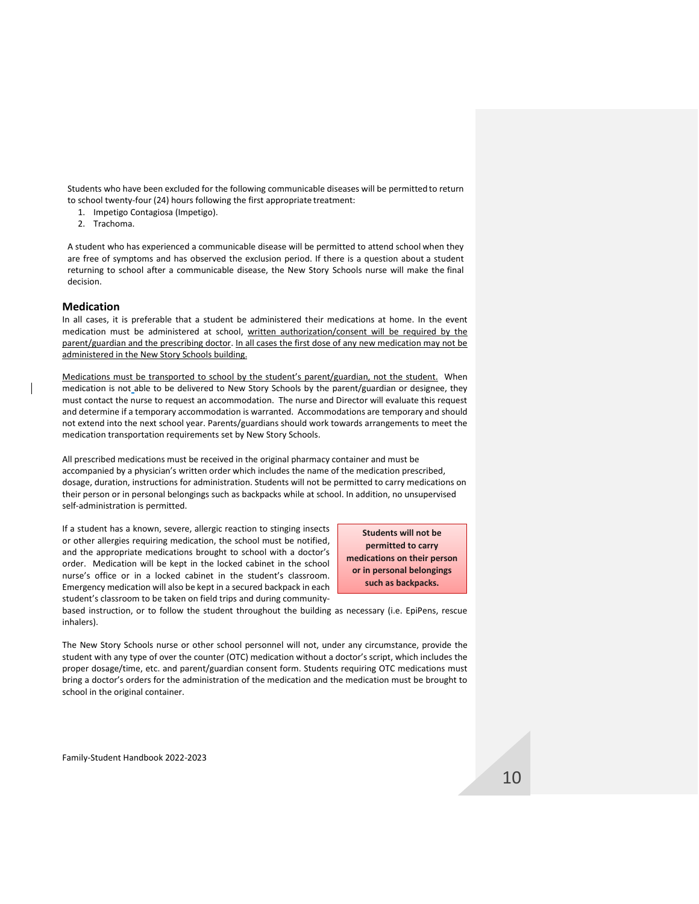Students who have been excluded for the following communicable diseases will be permitted to return to school twenty-four (24) hours following the first appropriate treatment:

- 1. Impetigo Contagiosa (Impetigo).
- 2. Trachoma.

A student who has experienced a communicable disease will be permitted to attend school when they are free of symptoms and has observed the exclusion period. If there is a question about a student returning to school after a communicable disease, the New Story Schools nurse will make the final decision.

#### <span id="page-10-0"></span>**Medication**

In all cases, it is preferable that a student be administered their medications at home. In the event medication must be administered at school, written authorization/consent will be required by the parent/guardian and the prescribing doctor. In all cases the first dose of any new medication may not be administered in the New Story Schools building.

Medications must be transported to school by the student's parent/guardian, not the student. When medication is not able to be delivered to New Story Schools by the parent/guardian or designee, they must contact the nurse to request an accommodation. The nurse and Director will evaluate this request and determine if a temporary accommodation is warranted. Accommodations are temporary and should not extend into the next school year. Parents/guardians should work towards arrangements to meet the medication transportation requirements set by New Story Schools.

All prescribed medications must be received in the original pharmacy container and must be accompanied by a physician's written order which includes the name of the medication prescribed, dosage, duration, instructions for administration. Students will not be permitted to carry medications on their person or in personal belongings such as backpacks while at school. In addition, no unsupervised self-administration is permitted.

If a student has a known, severe, allergic reaction to stinging insects or other allergies requiring medication, the school must be notified, and the appropriate medications brought to school with a doctor's order. Medication will be kept in the locked cabinet in the school nurse's office or in a locked cabinet in the student's classroom. Emergency medication will also be kept in a secured backpack in each student's classroom to be taken on field trips and during community-

**Students will not be permitted to carry medications on their person or in personal belongings such as backpacks.**

based instruction, or to follow the student throughout the building as necessary (i.e. EpiPens, rescue inhalers).

The New Story Schools nurse or other school personnel will not, under any circumstance, provide the student with any type of over the counter (OTC) medication without a doctor's script, which includes the proper dosage/time, etc. and parent/guardian consent form. Students requiring OTC medications must bring a doctor's orders for the administration of the medication and the medication must be brought to school in the original container.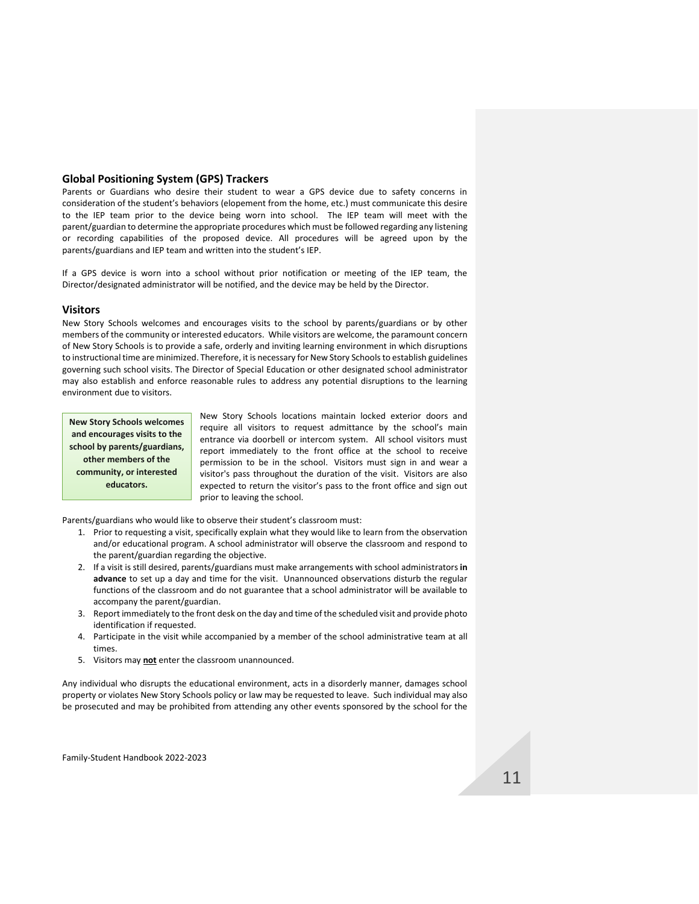### <span id="page-11-0"></span>**Global Positioning System (GPS) Trackers**

Parents or Guardians who desire their student to wear a GPS device due to safety concerns in consideration of the student's behaviors (elopement from the home, etc.) must communicate this desire to the IEP team prior to the device being worn into school. The IEP team will meet with the parent/guardian to determine the appropriate procedures which must be followed regarding any listening or recording capabilities of the proposed device. All procedures will be agreed upon by the parents/guardians and IEP team and written into the student's IEP.

If a GPS device is worn into a school without prior notification or meeting of the IEP team, the Director/designated administrator will be notified, and the device may be held by the Director.

### <span id="page-11-1"></span>**Visitors**

New Story Schools welcomes and encourages visits to the school by parents/guardians or by other members of the community or interested educators. While visitors are welcome, the paramount concern of New Story Schools is to provide a safe, orderly and inviting learning environment in which disruptions to instructional time are minimized. Therefore, it is necessary for New Story Schools to establish guidelines governing such school visits. The Director of Special Education or other designated school administrator may also establish and enforce reasonable rules to address any potential disruptions to the learning environment due to visitors.

**New Story Schools welcomes and encourages visits to the school by parents/guardians, other members of the community, or interested educators.**

New Story Schools locations maintain locked exterior doors and require all visitors to request admittance by the school's main entrance via doorbell or intercom system. All school visitors must report immediately to the front office at the school to receive permission to be in the school. Visitors must sign in and wear a visitor's pass throughout the duration of the visit. Visitors are also expected to return the visitor's pass to the front office and sign out prior to leaving the school.

Parents/guardians who would like to observe their student's classroom must:

- 1. Prior to requesting a visit, specifically explain what they would like to learn from the observation and/or educational program. A school administrator will observe the classroom and respond to the parent/guardian regarding the objective.
- 2. If a visit is still desired, parents/guardians must make arrangements with school administrators **in advance** to set up a day and time for the visit. Unannounced observations disturb the regular functions of the classroom and do not guarantee that a school administrator will be available to accompany the parent/guardian.
- 3. Report immediately to the front desk on the day and time of the scheduled visit and provide photo identification if requested.
- 4. Participate in the visit while accompanied by a member of the school administrative team at all times.
- 5. Visitors may **not** enter the classroom unannounced.

Any individual who disrupts the educational environment, acts in a disorderly manner, damages school property or violates New Story Schools policy or law may be requested to leave. Such individual may also be prosecuted and may be prohibited from attending any other events sponsored by the school for the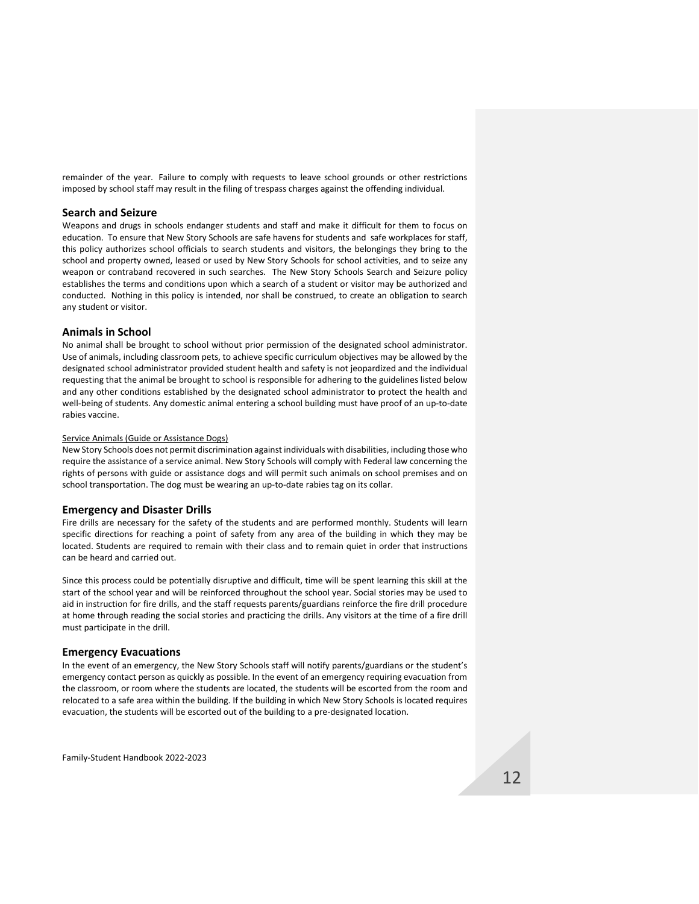remainder of the year. Failure to comply with requests to leave school grounds or other restrictions imposed by school staff may result in the filing of trespass charges against the offending individual.

#### <span id="page-12-0"></span>**Search and Seizure**

Weapons and drugs in schools endanger students and staff and make it difficult for them to focus on education. To ensure that New Story Schools are safe havens for students and safe workplaces for staff, this policy authorizes school officials to search students and visitors, the belongings they bring to the school and property owned, leased or used by New Story Schools for school activities, and to seize any weapon or contraband recovered in such searches. The New Story Schools Search and Seizure policy establishes the terms and conditions upon which a search of a student or visitor may be authorized and conducted. Nothing in this policy is intended, nor shall be construed, to create an obligation to search any student or visitor.

### <span id="page-12-1"></span>**Animals in School**

No animal shall be brought to school without prior permission of the designated school administrator. Use of animals, including classroom pets, to achieve specific curriculum objectives may be allowed by the designated school administrator provided student health and safety is not jeopardized and the individual requesting that the animal be brought to school is responsible for adhering to the guidelines listed below and any other conditions established by the designated school administrator to protect the health and well-being of students. Any domestic animal entering a school building must have proof of an up-to-date rabies vaccine.

#### Service Animals (Guide or Assistance Dogs)

New Story Schools does not permit discrimination against individuals with disabilities, including those who require the assistance of a service animal. New Story Schools will comply with Federal law concerning the rights of persons with guide or assistance dogs and will permit such animals on school premises and on school transportation. The dog must be wearing an up-to-date rabies tag on its collar.

#### <span id="page-12-2"></span>**Emergency and Disaster Drills**

Fire drills are necessary for the safety of the students and are performed monthly. Students will learn specific directions for reaching a point of safety from any area of the building in which they may be located. Students are required to remain with their class and to remain quiet in order that instructions can be heard and carried out.

Since this process could be potentially disruptive and difficult, time will be spent learning this skill at the start of the school year and will be reinforced throughout the school year. Social stories may be used to aid in instruction for fire drills, and the staff requests parents/guardians reinforce the fire drill procedure at home through reading the social stories and practicing the drills. Any visitors at the time of a fire drill must participate in the drill.

#### <span id="page-12-3"></span>**Emergency Evacuations**

In the event of an emergency, the New Story Schools staff will notify parents/guardians or the student's emergency contact person as quickly as possible. In the event of an emergency requiring evacuation from the classroom, or room where the students are located, the students will be escorted from the room and relocated to a safe area within the building. If the building in which New Story Schools is located requires evacuation, the students will be escorted out of the building to a pre-designated location.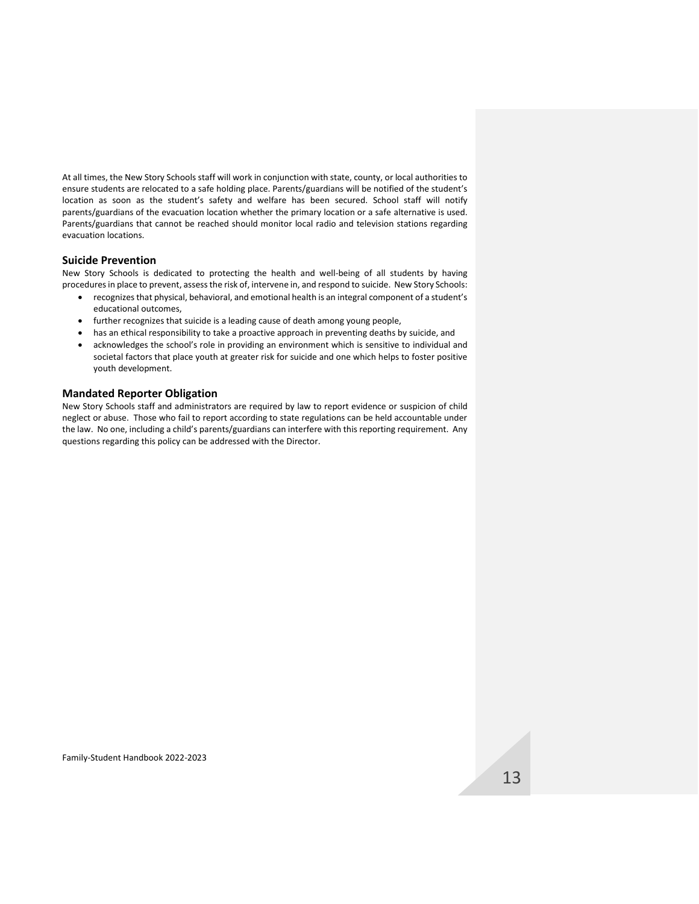At all times, the New Story Schools staff will work in conjunction with state, county, or local authorities to ensure students are relocated to a safe holding place. Parents/guardians will be notified of the student's location as soon as the student's safety and welfare has been secured. School staff will notify parents/guardians of the evacuation location whether the primary location or a safe alternative is used. Parents/guardians that cannot be reached should monitor local radio and television stations regarding evacuation locations.

### <span id="page-13-0"></span>**Suicide Prevention**

New Story Schools is dedicated to protecting the health and well-being of all students by having procedures in place to prevent, assess the risk of, intervene in, and respond to suicide. New Story Schools:

- recognizes that physical, behavioral, and emotional health is an integral component of a student's educational outcomes,
- further recognizes that suicide is a leading cause of death among young people,
- has an ethical responsibility to take a proactive approach in preventing deaths by suicide, and
- acknowledges the school's role in providing an environment which is sensitive to individual and societal factors that place youth at greater risk for suicide and one which helps to foster positive youth development.

### <span id="page-13-1"></span>**Mandated Reporter Obligation**

New Story Schools staff and administrators are required by law to report evidence or suspicion of child neglect or abuse. Those who fail to report according to state regulations can be held accountable under the law. No one, including a child's parents/guardians can interfere with this reporting requirement. Any questions regarding this policy can be addressed with the Director.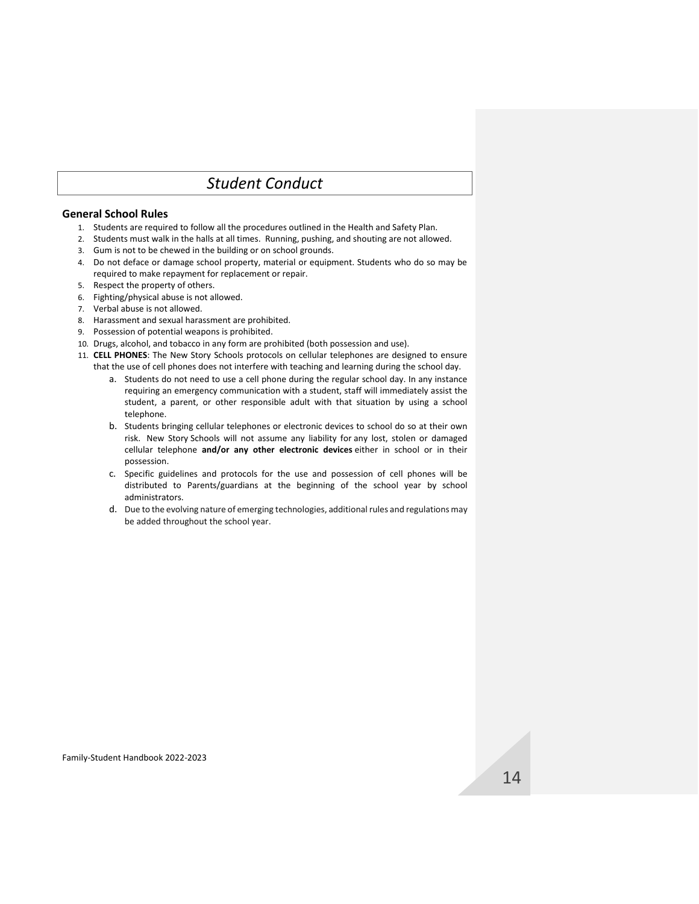# *Student Conduct*

# <span id="page-14-1"></span><span id="page-14-0"></span>**General School Rules**

- 1. Students are required to follow all the procedures outlined in the Health and Safety Plan.
- 2. Students must walk in the halls at all times. Running, pushing, and shouting are not allowed.
- 3. Gum is not to be chewed in the building or on school grounds.
- 4. Do not deface or damage school property, material or equipment. Students who do so may be required to make repayment for replacement or repair.
- 5. Respect the property of others.
- 6. Fighting/physical abuse is not allowed.
- 7. Verbal abuse is not allowed.
- 8. Harassment and sexual harassment are prohibited.
- 9. Possession of potential weapons is prohibited.
- 10. Drugs, alcohol, and tobacco in any form are prohibited (both possession and use).
- 11. **CELL PHONES**: The New Story Schools protocols on cellular telephones are designed to ensure that the use of cell phones does not interfere with teaching and learning during the school day.
	- a. Students do not need to use a cell phone during the regular school day. In any instance requiring an emergency communication with a student, staff will immediately assist the student, a parent, or other responsible adult with that situation by using a school telephone.
	- b. Students bringing cellular telephones or electronic devices to school do so at their own risk. New Story Schools will not assume any liability for any lost, stolen or damaged cellular telephone **and/or any other electronic devices** either in school or in their possession.
	- c. Specific guidelines and protocols for the use and possession of cell phones will be distributed to Parents/guardians at the beginning of the school year by school administrators.
	- d. Due to the evolving nature of emerging technologies, additional rules and regulations may be added throughout the school year.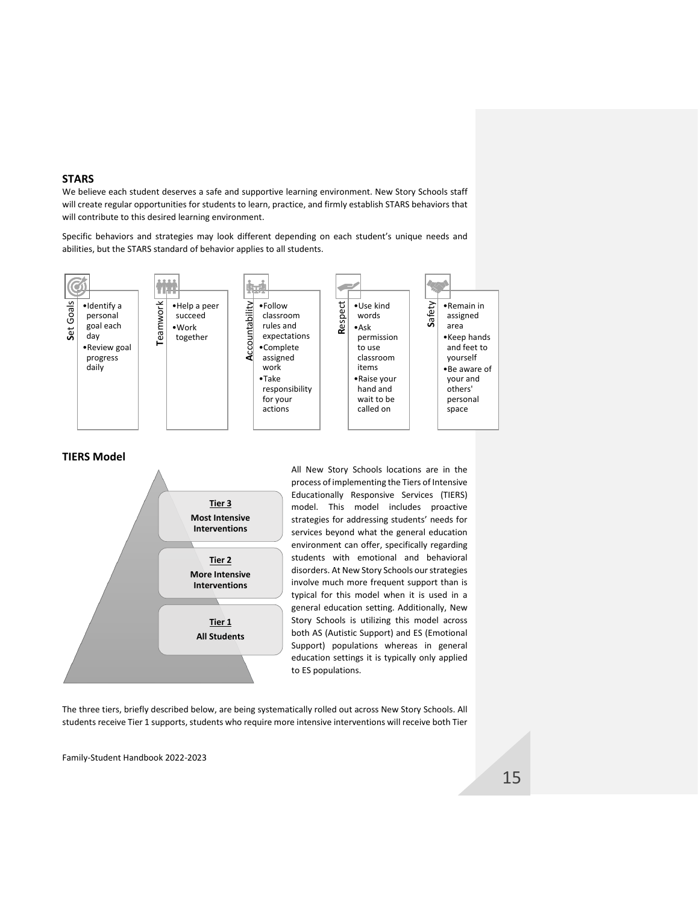## <span id="page-15-0"></span>**STARS**

We believe each student deserves a safe and supportive learning environment. New Story Schools staff will create regular opportunities for students to learn, practice, and firmly establish STARS behaviors that will contribute to this desired learning environment.

Specific behaviors and strategies may look different depending on each student's unique needs and abilities, but the STARS standard of behavior applies to all students.



## <span id="page-15-1"></span>**TIERS Model**



All New Story Schools locations are in the process of implementing the Tiers of Intensive Educationally Responsive Services (TIERS) model. This model includes proactive strategies for addressing students' needs for services beyond what the general education environment can offer, specifically regarding students with emotional and behavioral disorders. At New Story Schools our strategies involve much more frequent support than is typical for this model when it is used in a general education setting. Additionally, New Story Schools is utilizing this model across both AS (Autistic Support) and ES (Emotional Support) populations whereas in general education settings it is typically only applied to ES populations.

The three tiers, briefly described below, are being systematically rolled out across New Story Schools. All students receive Tier 1 supports, students who require more intensive interventions will receive both Tier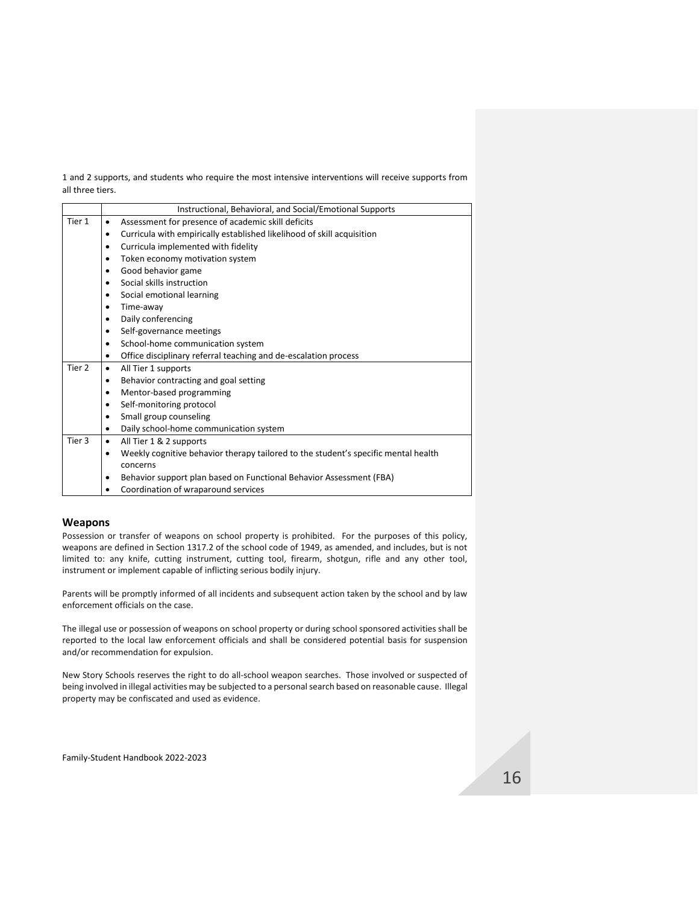1 and 2 supports, and students who require the most intensive interventions will receive supports from all three tiers.

|        | Instructional, Behavioral, and Social/Emotional Supports                                |
|--------|-----------------------------------------------------------------------------------------|
| Tier 1 | Assessment for presence of academic skill deficits<br>$\bullet$                         |
|        | Curricula with empirically established likelihood of skill acquisition<br>٠             |
|        | Curricula implemented with fidelity<br>٠                                                |
|        | Token economy motivation system<br>٠                                                    |
|        | Good behavior game<br>٠                                                                 |
|        | Social skills instruction<br>$\bullet$                                                  |
|        | Social emotional learning<br>٠                                                          |
|        | Time-away<br>٠                                                                          |
|        | Daily conferencing<br>$\bullet$                                                         |
|        | Self-governance meetings<br>٠                                                           |
|        | School-home communication system<br>$\bullet$                                           |
|        | Office disciplinary referral teaching and de-escalation process<br>٠                    |
| Tier 2 | All Tier 1 supports<br>$\bullet$                                                        |
|        | Behavior contracting and goal setting<br>٠                                              |
|        | Mentor-based programming<br>$\bullet$                                                   |
|        | Self-monitoring protocol<br>٠                                                           |
|        | Small group counseling<br>$\bullet$                                                     |
|        | Daily school-home communication system<br>٠                                             |
| Tier 3 | All Tier 1 & 2 supports<br>$\bullet$                                                    |
|        | Weekly cognitive behavior therapy tailored to the student's specific mental health<br>٠ |
|        | concerns                                                                                |
|        | Behavior support plan based on Functional Behavior Assessment (FBA)<br>٠                |
|        | Coordination of wraparound services                                                     |
|        |                                                                                         |

## <span id="page-16-0"></span>**Weapons**

Possession or transfer of weapons on school property is prohibited. For the purposes of this policy, weapons are defined in Section 1317.2 of the school code of 1949, as amended, and includes, but is not limited to: any knife, cutting instrument, cutting tool, firearm, shotgun, rifle and any other tool, instrument or implement capable of inflicting serious bodily injury.

Parents will be promptly informed of all incidents and subsequent action taken by the school and by law enforcement officials on the case.

The illegal use or possession of weapons on school property or during school sponsored activities shall be reported to the local law enforcement officials and shall be considered potential basis for suspension and/or recommendation for expulsion.

New Story Schools reserves the right to do all-school weapon searches. Those involved or suspected of being involved in illegal activities may be subjected to a personal search based on reasonable cause. Illegal property may be confiscated and used as evidence.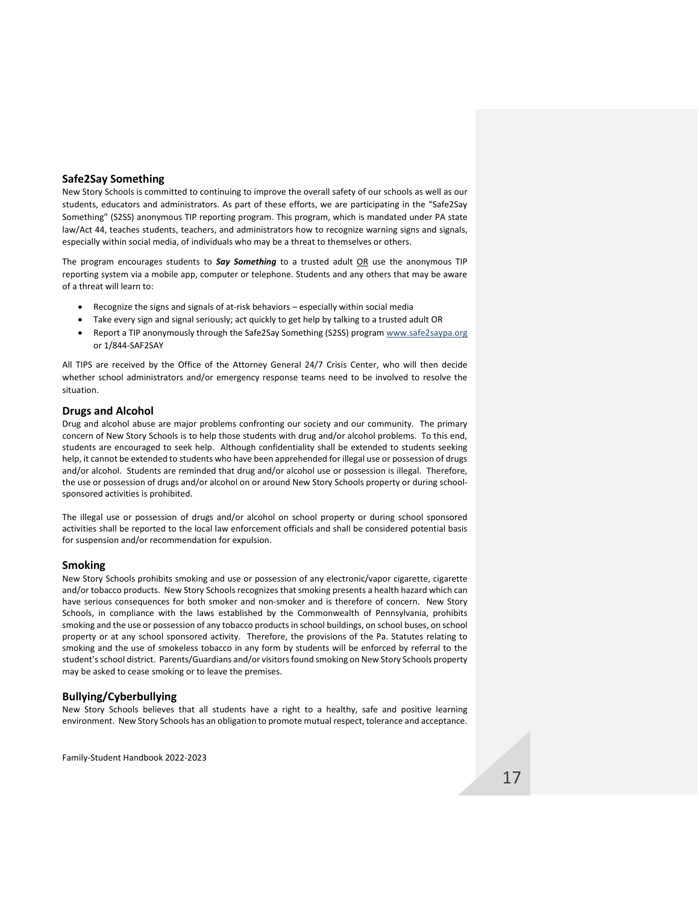### <span id="page-17-0"></span>**Safe2Say Something**

New Story Schools is committed to continuing to improve the overall safety of our schools as well as our students, educators and administrators. As part of these efforts, we are participating in the "Safe2Say Something" (S2SS) anonymous TIP reporting program. This program, which is mandated under PA state law/Act 44, teaches students, teachers, and administrators how to recognize warning signs and signals, especially within social media, of individuals who may be a threat to themselves or others.

The program encourages students to **Say Something** to a trusted adult OR use the anonymous TIP reporting system via a mobile app, computer or telephone. Students and any others that may be aware of a threat will learn to:

- Recognize the signs and signals of at-risk behaviors especially within social media
- Take every sign and signal seriously; act quickly to get help by talking to a trusted adult OR
- Report a TIP anonymously through the Safe2Say Something (S2SS) program [www.safe2saypa.org](http://www.safe2saypa.org/) or 1/844-SAF2SAY

All TIPS are received by the Office of the Attorney General 24/7 Crisis Center, who will then decide whether school administrators and/or emergency response teams need to be involved to resolve the situation.

## <span id="page-17-1"></span>**Drugs and Alcohol**

Drug and alcohol abuse are major problems confronting our society and our community. The primary concern of New Story Schools is to help those students with drug and/or alcohol problems. To this end, students are encouraged to seek help. Although confidentiality shall be extended to students seeking help, it cannot be extended to students who have been apprehended for illegal use or possession of drugs and/or alcohol. Students are reminded that drug and/or alcohol use or possession is illegal. Therefore, the use or possession of drugs and/or alcohol on or around New Story Schools property or during schoolsponsored activities is prohibited.

The illegal use or possession of drugs and/or alcohol on school property or during school sponsored activities shall be reported to the local law enforcement officials and shall be considered potential basis for suspension and/or recommendation for expulsion.

### <span id="page-17-2"></span>**Smoking**

New Story Schools prohibits smoking and use or possession of any electronic/vapor cigarette, cigarette and/or tobacco products. New Story Schools recognizes that smoking presents a health hazard which can have serious consequences for both smoker and non-smoker and is therefore of concern. New Story Schools, in compliance with the laws established by the Commonwealth of Pennsylvania, prohibits smoking and the use or possession of any tobacco products in school buildings, on school buses, on school property or at any school sponsored activity. Therefore, the provisions of the Pa. Statutes relating to smoking and the use of smokeless tobacco in any form by students will be enforced by referral to the student's school district. Parents/Guardians and/or visitors found smoking on New Story Schools property may be asked to cease smoking or to leave the premises.

### <span id="page-17-3"></span>**Bullying/Cyberbullying**

New Story Schools believes that all students have a right to a healthy, safe and positive learning environment. New Story Schools has an obligation to promote mutual respect, tolerance and acceptance.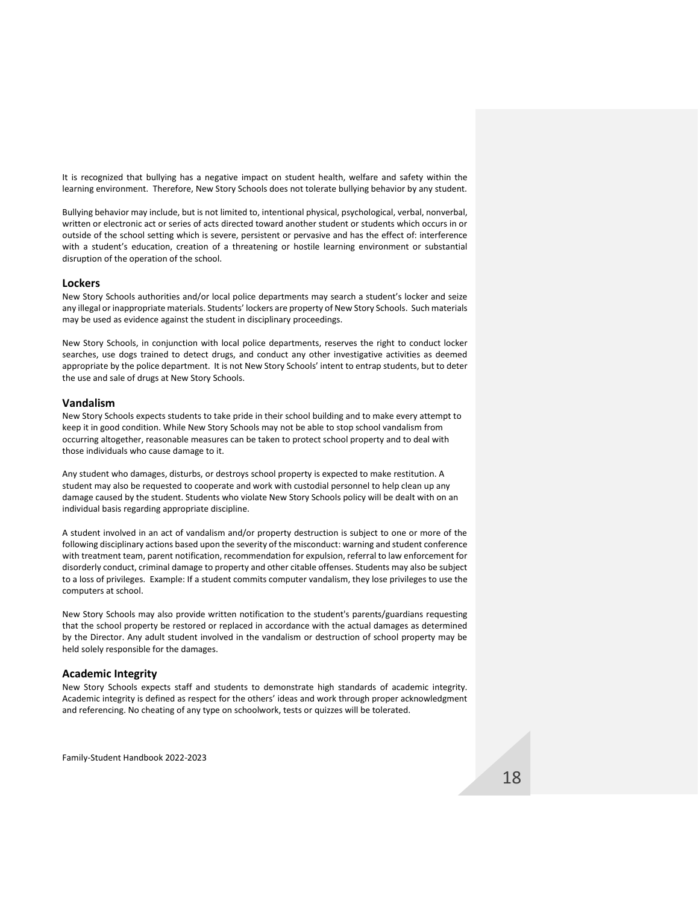It is recognized that bullying has a negative impact on student health, welfare and safety within the learning environment. Therefore, New Story Schools does not tolerate bullying behavior by any student.

Bullying behavior may include, but is not limited to, intentional physical, psychological, verbal, nonverbal, written or electronic act or series of acts directed toward another student or students which occurs in or outside of the school setting which is severe, persistent or pervasive and has the effect of: interference with a student's education, creation of a threatening or hostile learning environment or substantial disruption of the operation of the school.

#### <span id="page-18-0"></span>**Lockers**

New Story Schools authorities and/or local police departments may search a student's locker and seize any illegal or inappropriate materials. Students' lockers are property of New Story Schools. Such materials may be used as evidence against the student in disciplinary proceedings.

New Story Schools, in conjunction with local police departments, reserves the right to conduct locker searches, use dogs trained to detect drugs, and conduct any other investigative activities as deemed appropriate by the police department. It is not New Story Schools' intent to entrap students, but to deter the use and sale of drugs at New Story Schools.

### <span id="page-18-1"></span>**Vandalism**

New Story Schools expects students to take pride in their school building and to make every attempt to keep it in good condition. While New Story Schools may not be able to stop school vandalism from occurring altogether, reasonable measures can be taken to protect school property and to deal with those individuals who cause damage to it.

Any student who damages, disturbs, or destroys school property is expected to make restitution. A student may also be requested to cooperate and work with custodial personnel to help clean up any damage caused by the student. Students who violate New Story Schools policy will be dealt with on an individual basis regarding appropriate discipline.

A student involved in an act of vandalism and/or property destruction is subject to one or more of the following disciplinary actions based upon the severity of the misconduct: warning and student conference with treatment team, parent notification, recommendation for expulsion, referral to law enforcement for disorderly conduct, criminal damage to property and other citable offenses. Students may also be subject to a loss of privileges. Example: If a student commits computer vandalism, they lose privileges to use the computers at school.

New Story Schools may also provide written notification to the student's parents/guardians requesting that the school property be restored or replaced in accordance with the actual damages as determined by the Director. Any adult student involved in the vandalism or destruction of school property may be held solely responsible for the damages.

### <span id="page-18-2"></span>**Academic Integrity**

New Story Schools expects staff and students to demonstrate high standards of academic integrity. Academic integrity is defined as respect for the others' ideas and work through proper acknowledgment and referencing. No cheating of any type on schoolwork, tests or quizzes will be tolerated.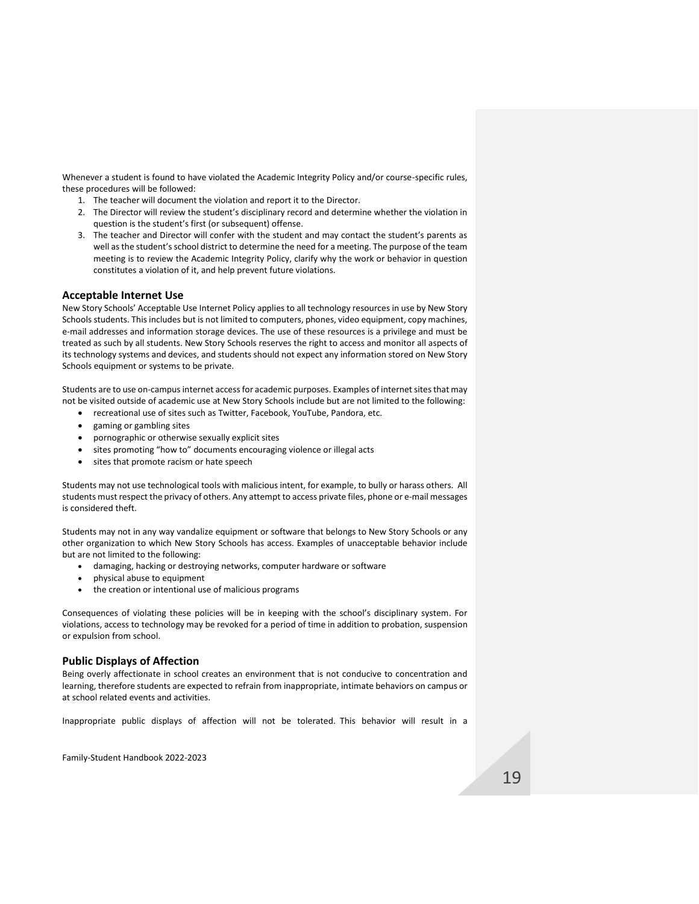Whenever a student is found to have violated the Academic Integrity Policy and/or course-specific rules, these procedures will be followed:

- 1. The teacher will document the violation and report it to the Director.
- 2. The Director will review the student's disciplinary record and determine whether the violation in question is the student's first (or subsequent) offense.
- 3. The teacher and Director will confer with the student and may contact the student's parents as well as the student's school district to determine the need for a meeting. The purpose of the team meeting is to review the Academic Integrity Policy, clarify why the work or behavior in question constitutes a violation of it, and help prevent future violations.

## <span id="page-19-0"></span>**Acceptable Internet Use**

New Story Schools' Acceptable Use Internet Policy applies to all technology resources in use by New Story Schools students. This includes but is not limited to computers, phones, video equipment, copy machines, e-mail addresses and information storage devices. The use of these resources is a privilege and must be treated as such by all students. New Story Schools reserves the right to access and monitor all aspects of its technology systems and devices, and students should not expect any information stored on New Story Schools equipment or systems to be private.

Students are to use on-campus internet access for academic purposes. Examples of internet sites that may not be visited outside of academic use at New Story Schools include but are not limited to the following:

- recreational use of sites such as Twitter, Facebook, YouTube, Pandora, etc.
- gaming or gambling sites
- pornographic or otherwise sexually explicit sites
- sites promoting "how to" documents encouraging violence or illegal acts
- sites that promote racism or hate speech

Students may not use technological tools with malicious intent, for example, to bully or harass others. All students must respect the privacy of others. Any attempt to access private files, phone or e-mail messages is considered theft.

Students may not in any way vandalize equipment or software that belongs to New Story Schools or any other organization to which New Story Schools has access. Examples of unacceptable behavior include but are not limited to the following:

- damaging, hacking or destroying networks, computer hardware or software
- physical abuse to equipment
- the creation or intentional use of malicious programs

Consequences of violating these policies will be in keeping with the school's disciplinary system. For violations, access to technology may be revoked for a period of time in addition to probation, suspension or expulsion from school.

### <span id="page-19-1"></span>**Public Displays of Affection**

Being overly affectionate in school creates an environment that is not conducive to concentration and learning, therefore students are expected to refrain from inappropriate, intimate behaviors on campus or at school related events and activities.

Inappropriate public displays of affection will not be tolerated. This behavior will result in a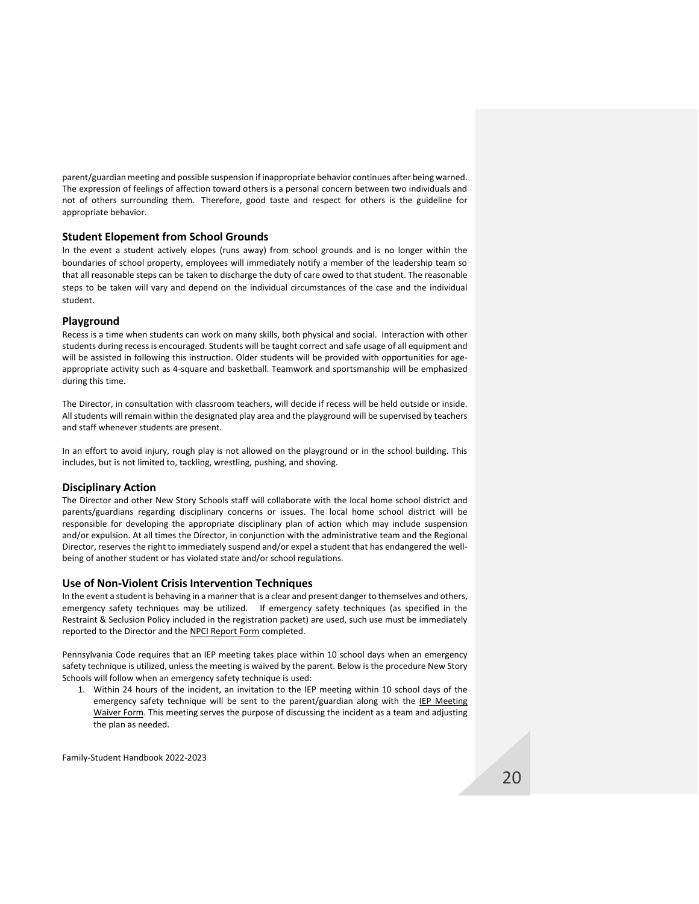parent/guardian meeting and possible suspension if inappropriate behavior continues after being warned. The expression of feelings of affection toward others is a personal concern between two individuals and not of others surrounding them. Therefore, good taste and respect for others is the guideline for appropriate behavior.

### <span id="page-20-0"></span>**Student Elopement from School Grounds**

In the event a student actively elopes (runs away) from school grounds and is no longer within the boundaries of school property, employees will immediately notify a member of the leadership team so that all reasonable steps can be taken to discharge the duty of care owed to that student. The reasonable steps to be taken will vary and depend on the individual circumstances of the case and the individual student.

### <span id="page-20-1"></span>**Playground**

Recess is a time when students can work on many skills, both physical and social. Interaction with other students during recess is encouraged. Students will be taught correct and safe usage of all equipment and will be assisted in following this instruction. Older students will be provided with opportunities for ageappropriate activity such as 4-square and basketball. Teamwork and sportsmanship will be emphasized during this time.

The Director, in consultation with classroom teachers, will decide if recess will be held outside or inside. All students will remain within the designated play area and the playground will be supervised by teachers and staff whenever students are present.

In an effort to avoid injury, rough play is not allowed on the playground or in the school building. This includes, but is not limited to, tackling, wrestling, pushing, and shoving.

### <span id="page-20-2"></span>**Disciplinary Action**

The Director and other New Story Schools staff will collaborate with the local home school district and parents/guardians regarding disciplinary concerns or issues. The local home school district will be responsible for developing the appropriate disciplinary plan of action which may include suspension and/or expulsion. At all times the Director, in conjunction with the administrative team and the Regional Director, reserves the right to immediately suspend and/or expel a student that has endangered the wellbeing of another student or has violated state and/or school regulations.

### <span id="page-20-3"></span>**Use of Non-Violent Crisis Intervention Techniques**

In the event a student is behaving in a manner that is a clear and present danger to themselves and others, emergency safety techniques may be utilized. If emergency safety techniques (as specified in the Restraint & Seclusion Policy included in the registration packet) are used, such use must be immediately reported to the Director and the NPCI Report Form completed.

Pennsylvania Code requires that an IEP meeting takes place within 10 school days when an emergency safety technique is utilized, unless the meeting is waived by the parent. Below is the procedure New Story Schools will follow when an emergency safety technique is used:

1. Within 24 hours of the incident, an invitation to the IEP meeting within 10 school days of the emergency safety technique will be sent to the parent/guardian along with the IEP Meeting Waiver Form. This meeting serves the purpose of discussing the incident as a team and adjusting the plan as needed.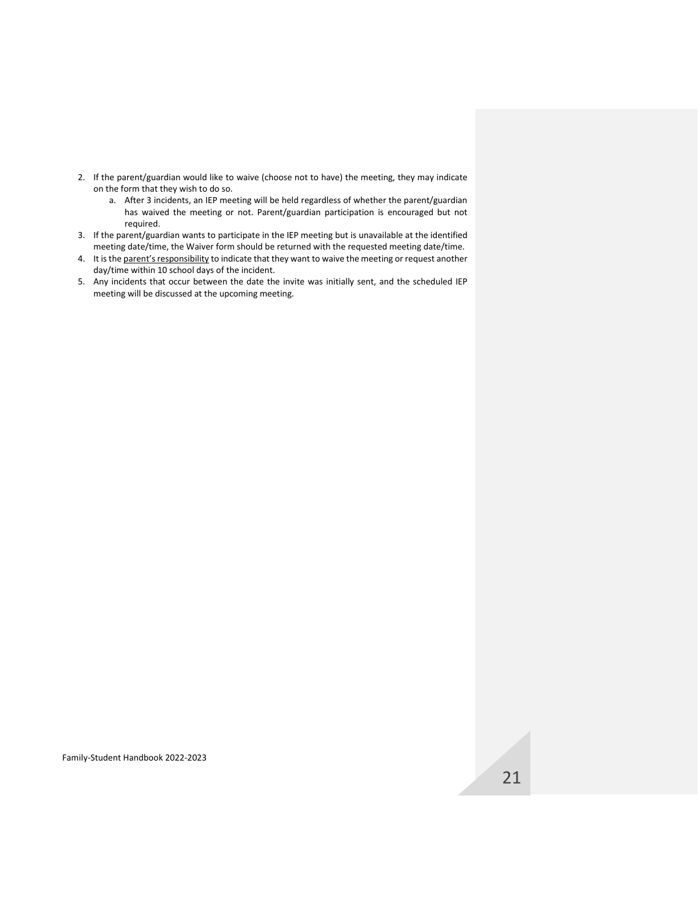- 2. If the parent/guardian would like to waive (choose not to have) the meeting, they may indicate on the form that they wish to do so.
	- a. After 3 incidents, an IEP meeting will be held regardless of whether the parent/guardian has waived the meeting or not. Parent/guardian participation is encouraged but not required.
- 3. If the parent/guardian wants to participate in the IEP meeting but is unavailable at the identified meeting date/time, the Waiver form should be returned with the requested meeting date/time.
- 4. It is the parent's responsibility to indicate that they want to waive the meeting or request another day/time within 10 school days of the incident.
- 5. Any incidents that occur between the date the invite was initially sent, and the scheduled IEP meeting will be discussed at the upcoming meeting.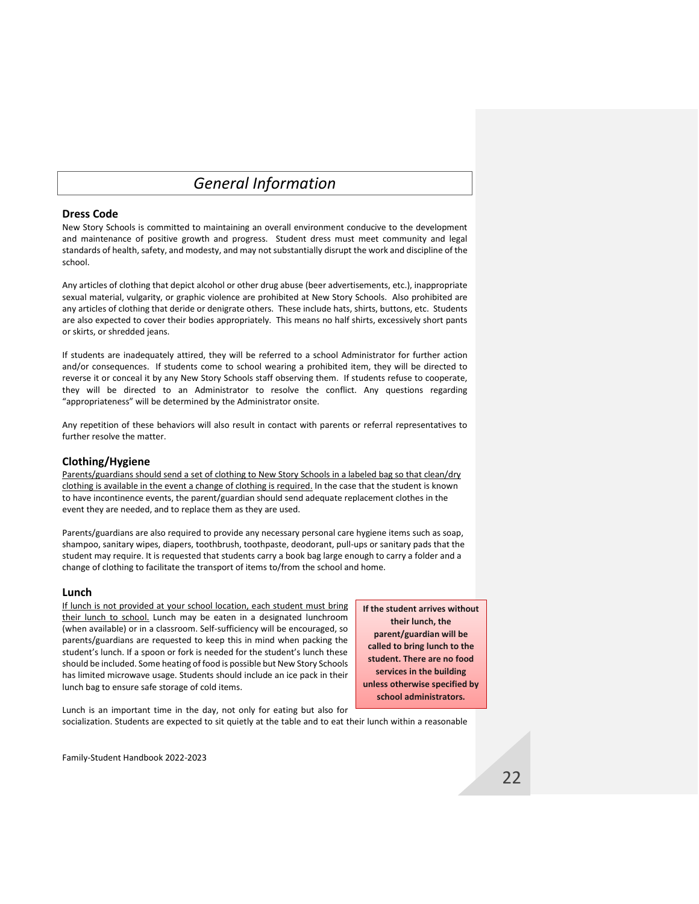# *General Information*

### <span id="page-22-1"></span><span id="page-22-0"></span>**Dress Code**

New Story Schools is committed to maintaining an overall environment conducive to the development and maintenance of positive growth and progress. Student dress must meet community and legal standards of health, safety, and modesty, and may not substantially disrupt the work and discipline of the school.

Any articles of clothing that depict alcohol or other drug abuse (beer advertisements, etc.), inappropriate sexual material, vulgarity, or graphic violence are prohibited at New Story Schools. Also prohibited are any articles of clothing that deride or denigrate others. These include hats, shirts, buttons, etc. Students are also expected to cover their bodies appropriately. This means no half shirts, excessively short pants or skirts, or shredded jeans.

If students are inadequately attired, they will be referred to a school Administrator for further action and/or consequences. If students come to school wearing a prohibited item, they will be directed to reverse it or conceal it by any New Story Schools staff observing them. If students refuse to cooperate, they will be directed to an Administrator to resolve the conflict. Any questions regarding "appropriateness" will be determined by the Administrator onsite.

Any repetition of these behaviors will also result in contact with parents or referral representatives to further resolve the matter.

### <span id="page-22-2"></span>**Clothing/Hygiene**

Parents/guardians should send a set of clothing to New Story Schools in a labeled bag so that clean/dry clothing is available in the event a change of clothing is required. In the case that the student is known to have incontinence events, the parent/guardian should send adequate replacement clothes in the event they are needed, and to replace them as they are used.

Parents/guardians are also required to provide any necessary personal care hygiene items such as soap, shampoo, sanitary wipes, diapers, toothbrush, toothpaste, deodorant, pull-ups or sanitary pads that the student may require. It is requested that students carry a book bag large enough to carry a folder and a change of clothing to facilitate the transport of items to/from the school and home.

#### <span id="page-22-3"></span>**Lunch**

If lunch is not provided at your school location, each student must bring their lunch to school. Lunch may be eaten in a designated lunchroom (when available) or in a classroom. Self-sufficiency will be encouraged, so parents/guardians are requested to keep this in mind when packing the student's lunch. If a spoon or fork is needed for the student's lunch these should be included. Some heating of food is possible but New Story Schools has limited microwave usage. Students should include an ice pack in their lunch bag to ensure safe storage of cold items.

**If the student arrives without their lunch, the parent/guardian will be called to bring lunch to the student. There are no food services in the building unless otherwise specified by school administrators.**

Lunch is an important time in the day, not only for eating but also for socialization. Students are expected to sit quietly at the table and to eat their lunch within a reasonable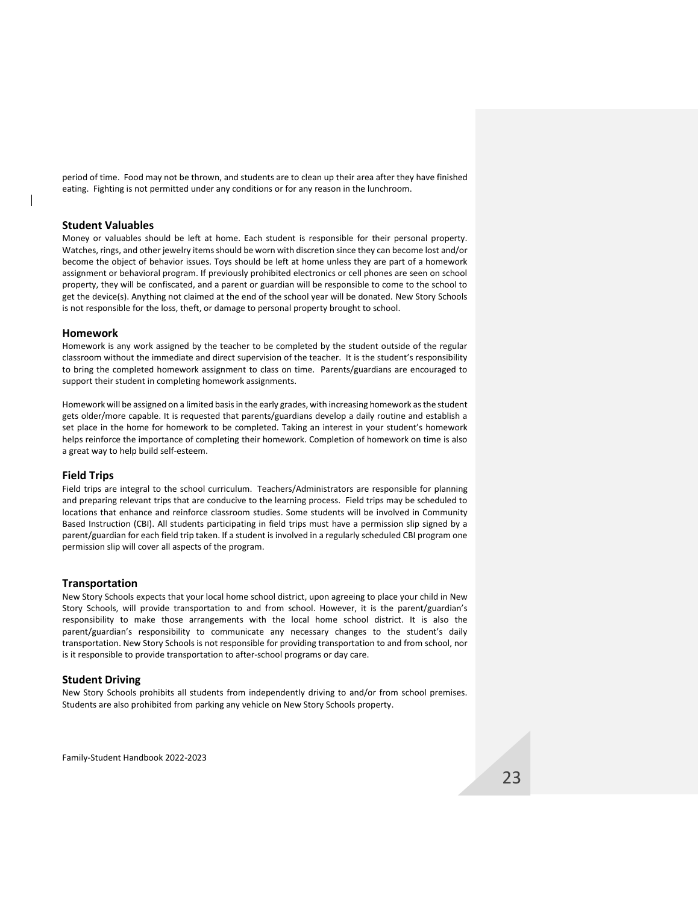period of time. Food may not be thrown, and students are to clean up their area after they have finished eating. Fighting is not permitted under any conditions or for any reason in the lunchroom.

#### <span id="page-23-0"></span>**Student Valuables**

Money or valuables should be left at home. Each student is responsible for their personal property. Watches, rings, and other jewelry items should be worn with discretion since they can become lost and/or become the object of behavior issues. Toys should be left at home unless they are part of a homework assignment or behavioral program. If previously prohibited electronics or cell phones are seen on school property, they will be confiscated, and a parent or guardian will be responsible to come to the school to get the device(s). Anything not claimed at the end of the school year will be donated. New Story Schools is not responsible for the loss, theft, or damage to personal property brought to school.

#### <span id="page-23-1"></span>**Homework**

Homework is any work assigned by the teacher to be completed by the student outside of the regular classroom without the immediate and direct supervision of the teacher. It is the student's responsibility to bring the completed homework assignment to class on time. Parents/guardians are encouraged to support their student in completing homework assignments.

Homework will be assigned on a limited basis in the early grades, with increasing homework as the student gets older/more capable. It is requested that parents/guardians develop a daily routine and establish a set place in the home for homework to be completed. Taking an interest in your student's homework helps reinforce the importance of completing their homework. Completion of homework on time is also a great way to help build self-esteem.

#### <span id="page-23-2"></span>**Field Trips**

Field trips are integral to the school curriculum. Teachers/Administrators are responsible for planning and preparing relevant trips that are conducive to the learning process. Field trips may be scheduled to locations that enhance and reinforce classroom studies. Some students will be involved in Community Based Instruction (CBI). All students participating in field trips must have a permission slip signed by a parent/guardian for each field trip taken. If a student is involved in a regularly scheduled CBI program one permission slip will cover all aspects of the program.

#### <span id="page-23-3"></span>**Transportation**

New Story Schools expects that your local home school district, upon agreeing to place your child in New Story Schools, will provide transportation to and from school. However, it is the parent/guardian's responsibility to make those arrangements with the local home school district. It is also the parent/guardian's responsibility to communicate any necessary changes to the student's daily transportation. New Story Schools is not responsible for providing transportation to and from school, nor is it responsible to provide transportation to after-school programs or day care.

#### <span id="page-23-4"></span>**Student Driving**

New Story Schools prohibits all students from independently driving to and/or from school premises. Students are also prohibited from parking any vehicle on New Story Schools property.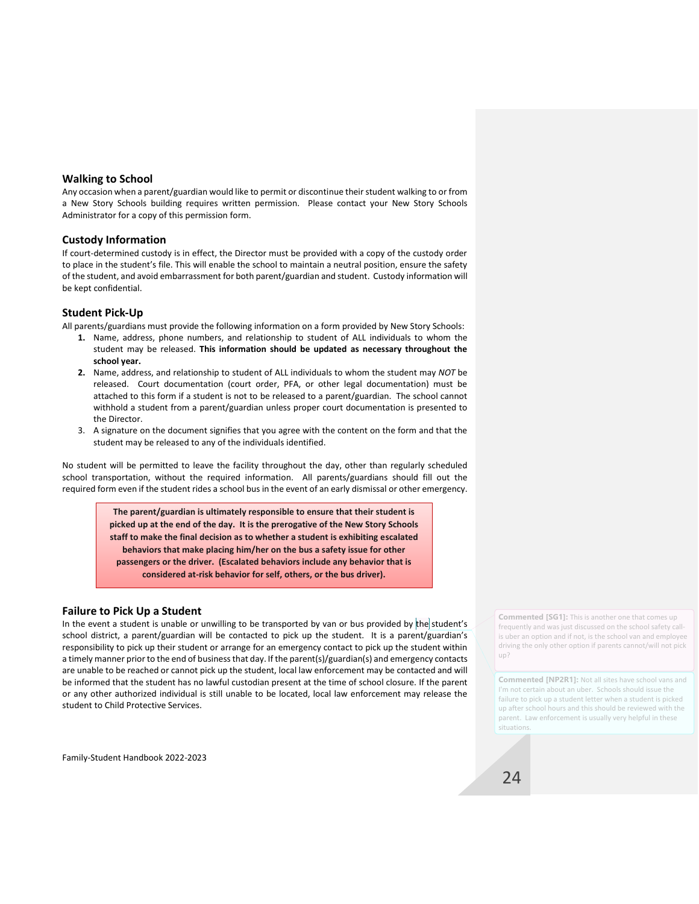### <span id="page-24-0"></span>**Walking to School**

Any occasion when a parent/guardian would like to permit or discontinue their student walking to or from a New Story Schools building requires written permission. Please contact your New Story Schools Administrator for a copy of this permission form.

### <span id="page-24-1"></span>**Custody Information**

If court-determined custody is in effect, the Director must be provided with a copy of the custody order to place in the student's file. This will enable the school to maintain a neutral position, ensure the safety of the student, and avoid embarrassment for both parent/guardian and student. Custody information will be kept confidential.

## <span id="page-24-2"></span>**Student Pick-Up**

All parents/guardians must provide the following information on a form provided by New Story Schools:

- **1.** Name, address, phone numbers, and relationship to student of ALL individuals to whom the student may be released. **This information should be updated as necessary throughout the school year.**
- **2.** Name, address, and relationship to student of ALL individuals to whom the student may *NOT* be released. Court documentation (court order, PFA, or other legal documentation) must be attached to this form if a student is not to be released to a parent/guardian. The school cannot withhold a student from a parent/guardian unless proper court documentation is presented to the Director.
- 3. A signature on the document signifies that you agree with the content on the form and that the student may be released to any of the individuals identified.

No student will be permitted to leave the facility throughout the day, other than regularly scheduled school transportation, without the required information. All parents/guardians should fill out the required form even if the student rides a school bus in the event of an early dismissal or other emergency.

> **The parent/guardian is ultimately responsible to ensure that their student is picked up at the end of the day. It is the prerogative of the New Story Schools staff to make the final decision as to whether a student is exhibiting escalated behaviors that make placing him/her on the bus a safety issue for other passengers or the driver. (Escalated behaviors include any behavior that is considered at-risk behavior for self, others, or the bus driver).**

## <span id="page-24-3"></span>**Failure to Pick Up a Student**

In the event a student is unable or unwilling to be transported by van or bus provided by the student's school district, a parent/guardian will be contacted to pick up the student. It is a parent/guardian's responsibility to pick up their student or arrange for an emergency contact to pick up the student within a timely manner prior to the end of business that day. If the parent(s)/guardian(s) and emergency contacts are unable to be reached or cannot pick up the student, local law enforcement may be contacted and will be informed that the student has no lawful custodian present at the time of school closure. If the parent or any other authorized individual is still unable to be located, local law enforcement may release the student to Child Protective Services.

Family-Student Handbook 2022-2023

**Commented [SG1]:** This is another one that comes up frequently and was just discussed on the school safety callis uber an option and if not, is the school van and employee driving the only other option if parents cannot/will not pick up?

**Commented [NP2R1]:** Not all sites have school vans and I'm not certain about an uber. Schools should issue the failure to pick up a student letter when a student is picked up after school hours and this should be reviewed with the parent. Law enforcement is usually very helpful in these situations.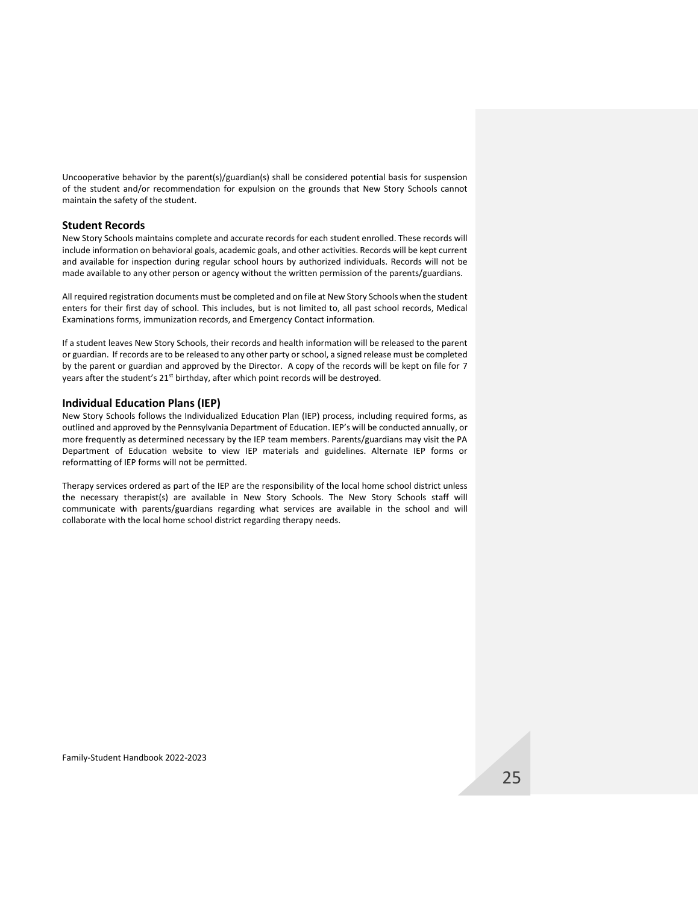Uncooperative behavior by the parent(s)/guardian(s) shall be considered potential basis for suspension of the student and/or recommendation for expulsion on the grounds that New Story Schools cannot maintain the safety of the student.

#### <span id="page-25-0"></span>**Student Records**

New Story Schools maintains complete and accurate records for each student enrolled. These records will include information on behavioral goals, academic goals, and other activities. Records will be kept current and available for inspection during regular school hours by authorized individuals. Records will not be made available to any other person or agency without the written permission of the parents/guardians.

All required registration documents must be completed and on file at New Story Schools when the student enters for their first day of school. This includes, but is not limited to, all past school records, Medical Examinations forms, immunization records, and Emergency Contact information.

If a student leaves New Story Schools, their records and health information will be released to the parent or guardian. If records are to be released to any other party or school, a signed release must be completed by the parent or guardian and approved by the Director. A copy of the records will be kept on file for 7 years after the student's 21<sup>st</sup> birthday, after which point records will be destroyed.

#### <span id="page-25-1"></span>**Individual Education Plans (IEP)**

New Story Schools follows the Individualized Education Plan (IEP) process, including required forms, as outlined and approved by the Pennsylvania Department of Education. IEP's will be conducted annually, or more frequently as determined necessary by the IEP team members. Parents/guardians may visit the PA Department of Education website to view IEP materials and guidelines. Alternate IEP forms or reformatting of IEP forms will not be permitted.

Therapy services ordered as part of the IEP are the responsibility of the local home school district unless the necessary therapist(s) are available in New Story Schools. The New Story Schools staff will communicate with parents/guardians regarding what services are available in the school and will collaborate with the local home school district regarding therapy needs.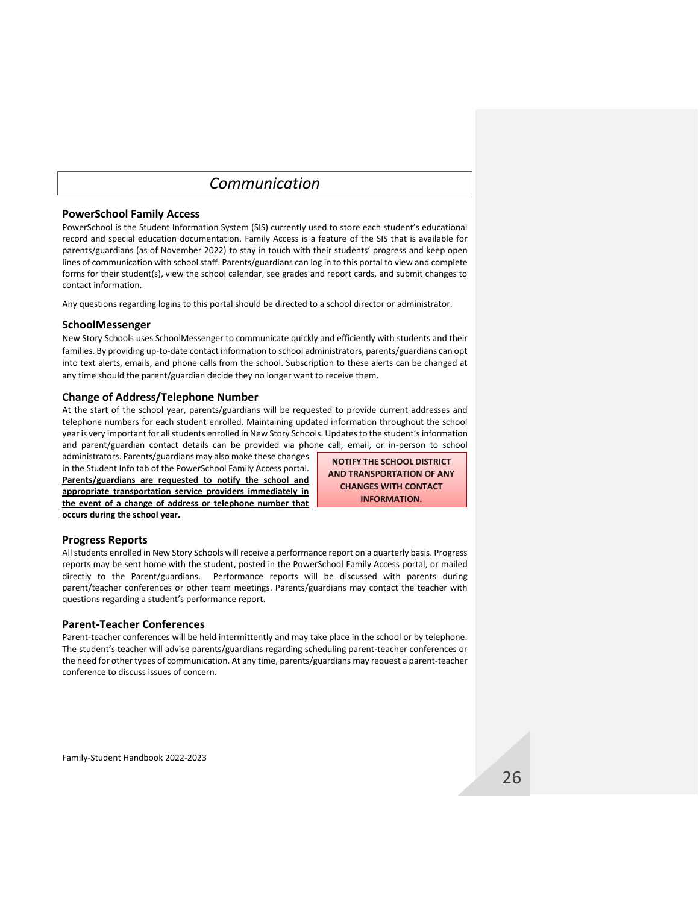# *Communication*

### <span id="page-26-1"></span><span id="page-26-0"></span>**PowerSchool Family Access**

PowerSchool is the Student Information System (SIS) currently used to store each student's educational record and special education documentation. Family Access is a feature of the SIS that is available for parents/guardians (as of November 2022) to stay in touch with their students' progress and keep open lines of communication with school staff. Parents/guardians can log in to this portal to view and complete forms for their student(s), view the school calendar, see grades and report cards, and submit changes to contact information.

Any questions regarding logins to this portal should be directed to a school director or administrator.

### <span id="page-26-2"></span>**SchoolMessenger**

New Story Schools uses SchoolMessenger to communicate quickly and efficiently with students and their families. By providing up-to-date contact information to school administrators, parents/guardians can opt into text alerts, emails, and phone calls from the school. Subscription to these alerts can be changed at any time should the parent/guardian decide they no longer want to receive them.

### <span id="page-26-3"></span>**Change of Address/Telephone Number**

At the start of the school year, parents/guardians will be requested to provide current addresses and telephone numbers for each student enrolled. Maintaining updated information throughout the school year is very important for all students enrolled in New Story Schools. Updates to the student's information and parent/guardian contact details can be provided via phone call, email, or in-person to school

administrators. Parents/guardians may also make these changes in the Student Info tab of the PowerSchool Family Access portal. **Parents/guardians are requested to notify the school and appropriate transportation service providers immediately in the event of a change of address or telephone number that occurs during the school year.**

**NOTIFY THE SCHOOL DISTRICT AND TRANSPORTATION OF ANY CHANGES WITH CONTACT INFORMATION.** 

## <span id="page-26-4"></span>**Progress Reports**

All students enrolled in New Story Schools will receive a performance report on a quarterly basis. Progress reports may be sent home with the student, posted in the PowerSchool Family Access portal, or mailed directly to the Parent/guardians. Performance reports will be discussed with parents during parent/teacher conferences or other team meetings. Parents/guardians may contact the teacher with questions regarding a student's performance report.

## <span id="page-26-5"></span>**Parent-Teacher Conferences**

Parent-teacher conferences will be held intermittently and may take place in the school or by telephone. The student's teacher will advise parents/guardians regarding scheduling parent-teacher conferences or the need for other types of communication. At any time, parents/guardians may request a parent-teacher conference to discuss issues of concern.